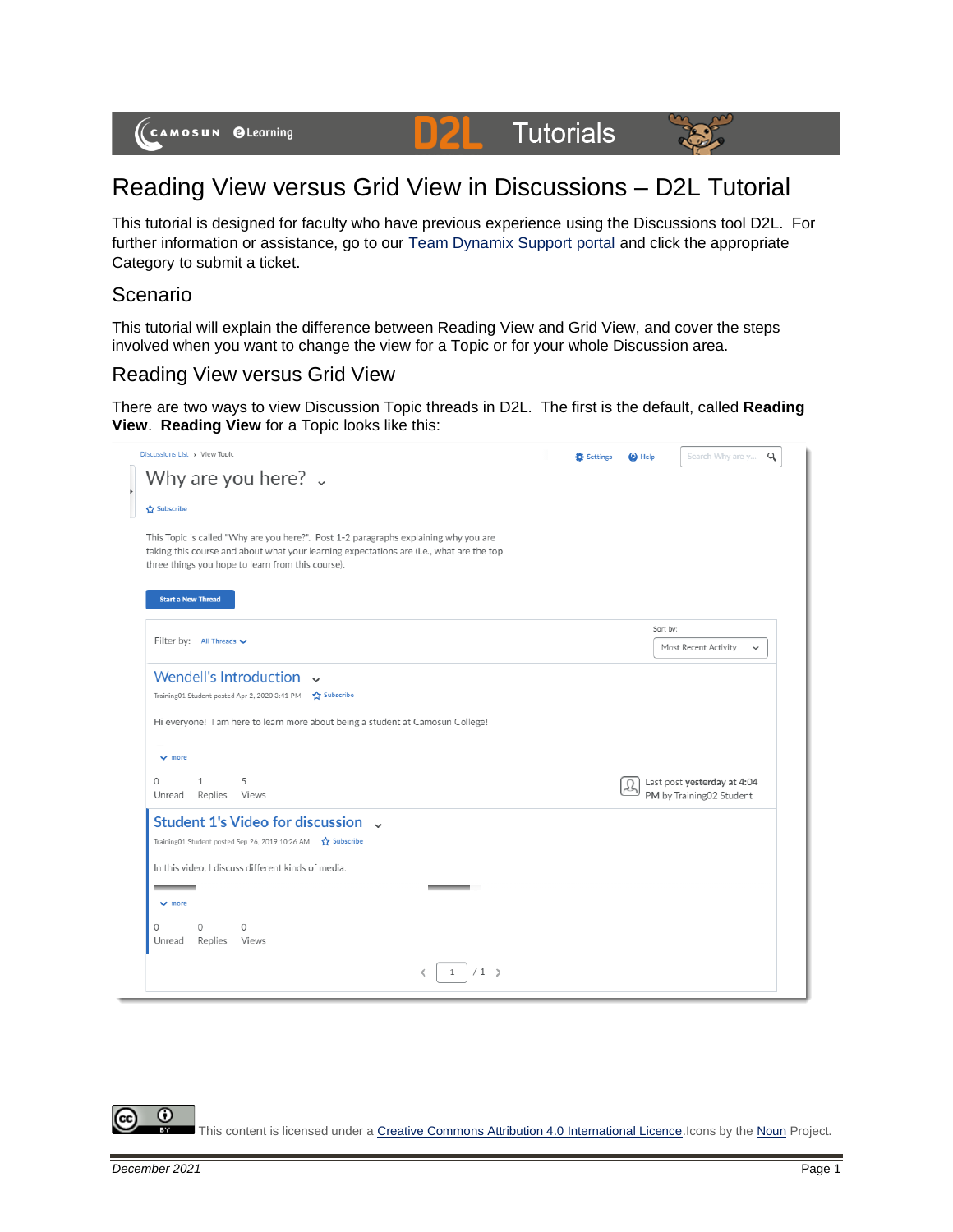

#### **D2L Tutorials**



# Reading View versus Grid View in Discussions – D2L Tutorial

This tutorial is designed for faculty who have previous experience using the Discussions tool D2L. For further information or assistance, go to our [Team Dynamix Support portal](https://camosun.teamdynamix.com/TDClient/67/Portal/Requests/ServiceCatalog?CategoryID=523) and click the appropriate Category to submit a ticket.

### Scenario

This tutorial will explain the difference between Reading View and Grid View, and cover the steps involved when you want to change the view for a Topic or for your whole Discussion area.

## Reading View versus Grid View

There are two ways to view Discussion Topic threads in D2L. The first is the default, called **Reading View**. **Reading View** for a Topic looks like this:

| Discussions List > View Topic                                                                                                                                                                                                             | <b>C</b> Settings | <b>Q</b> Help |          | Search Why are y                                        | Q |
|-------------------------------------------------------------------------------------------------------------------------------------------------------------------------------------------------------------------------------------------|-------------------|---------------|----------|---------------------------------------------------------|---|
| Why are you here? $\sqrt{ }$                                                                                                                                                                                                              |                   |               |          |                                                         |   |
| Subscribe                                                                                                                                                                                                                                 |                   |               |          |                                                         |   |
| This Topic is called "Why are you here?". Post 1-2 paragraphs explaining why you are<br>taking this course and about what your learning expectations are (i.e., what are the top<br>three things you hope to learn from this course).     |                   |               |          |                                                         |   |
| <b>Start a New Thread</b>                                                                                                                                                                                                                 |                   |               |          |                                                         |   |
| Filter by: All Threads $\vee$                                                                                                                                                                                                             |                   |               | Sort by: |                                                         |   |
|                                                                                                                                                                                                                                           |                   |               |          | Most Recent Activity<br>$\checkmark$                    |   |
| Hi everyone! I am here to learn more about being a student at Camosun College!<br>$ightharpoonup$ more                                                                                                                                    |                   |               |          |                                                         |   |
| 5<br>$\Omega$<br>$\mathbf{1}$<br>Unread<br>Replies<br>Views                                                                                                                                                                               |                   |               |          | Last post yesterday at 4:04<br>PM by Training02 Student |   |
| Student 1's Video for discussion ~<br>Training01 Student posted Sep 26, 2019 10:26 AM \$ Subscribe<br>In this video. I discuss different kinds of media.<br>$\vee$ more<br>$\Omega$<br>$\Omega$<br>$\Omega$<br>Unread<br>Replies<br>Views |                   |               |          |                                                         |   |
| $/1$ $>$<br>₹<br>$\mathbf{1}$                                                                                                                                                                                                             |                   |               |          |                                                         |   |

This content is licensed under [a Creative Commons Attribution 4.0 International Licence.I](https://creativecommons.org/licenses/by/4.0/)cons by th[e Noun](https://creativecommons.org/website-icons/) Project.

 $\odot$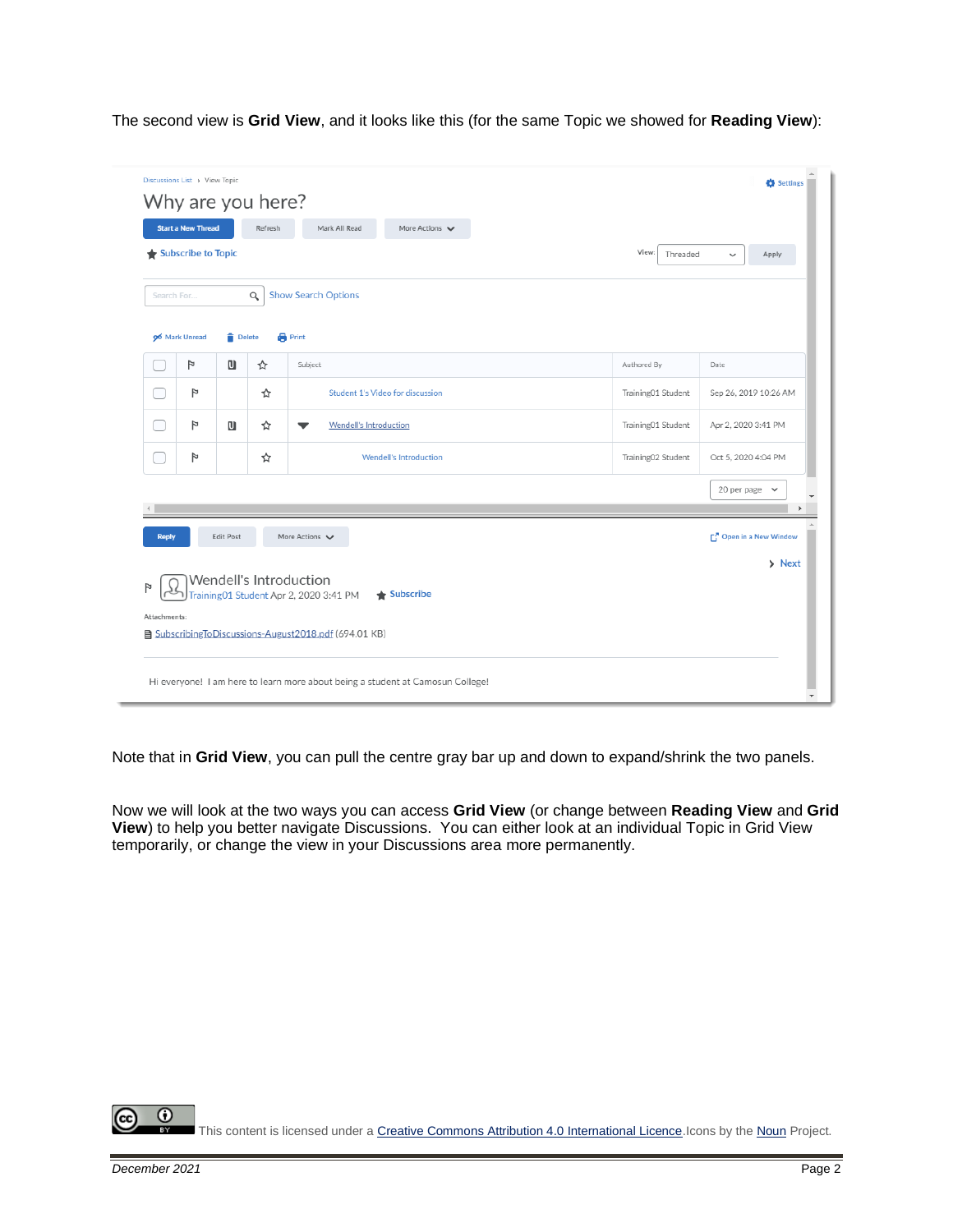The second view is **Grid View**, and it looks like this (for the same Topic we showed for **Reading View**):

|              | <b>Start a New Thread</b><br>Subscribe to Topic |                    | Refresh  | Mark All Read<br>More Actions $\vee$                                                                                    | View:<br>Threaded  | Apply<br>$\checkmark$          |
|--------------|-------------------------------------------------|--------------------|----------|-------------------------------------------------------------------------------------------------------------------------|--------------------|--------------------------------|
| Search For   |                                                 |                    | $\alpha$ | <b>Show Search Options</b>                                                                                              |                    |                                |
|              | 96 Mark Unread<br>Þ                             | <b>Delete</b><br>u | ☆        | <b>Print</b><br>Subject                                                                                                 | Authored By        | Date                           |
|              | Þ                                               |                    | ☆        | Student 1's Video for discussion                                                                                        | Training01 Student | Sep 26, 2019 10:26 AM          |
|              | P                                               | u                  | ☆        | Wendell's Introduction                                                                                                  | Training01 Student | Apr 2, 2020 3:41 PM            |
|              | p                                               |                    | ☆        | Wendell's Introduction                                                                                                  | Training02 Student | Oct 5, 2020 4:04 PM            |
|              |                                                 |                    |          |                                                                                                                         |                    | 20 per page $\vee$             |
| <b>Reply</b> |                                                 | <b>Edit Post</b>   |          | More Actions V<br>Wendell's Introduction                                                                                |                    | Open in a New Window<br>> Next |
| Attachments: |                                                 |                    |          | Training01 Student Apr 2, 2020 3:41 PM<br>$\triangleq$ Subscribe<br>SubscribingToDiscussions-August2018.pdf (694.01 KB) |                    |                                |

Note that in **Grid View**, you can pull the centre gray bar up and down to expand/shrink the two panels.

Now we will look at the two ways you can access **Grid View** (or change between **Reading View** and **Grid View**) to help you better navigate Discussions. You can either look at an individual Topic in Grid View temporarily, or change the view in your Discussions area more permanently.

 $\odot$ This content is licensed under [a Creative Commons Attribution 4.0 International Licence.I](https://creativecommons.org/licenses/by/4.0/)cons by th[e Noun](https://creativecommons.org/website-icons/) Project.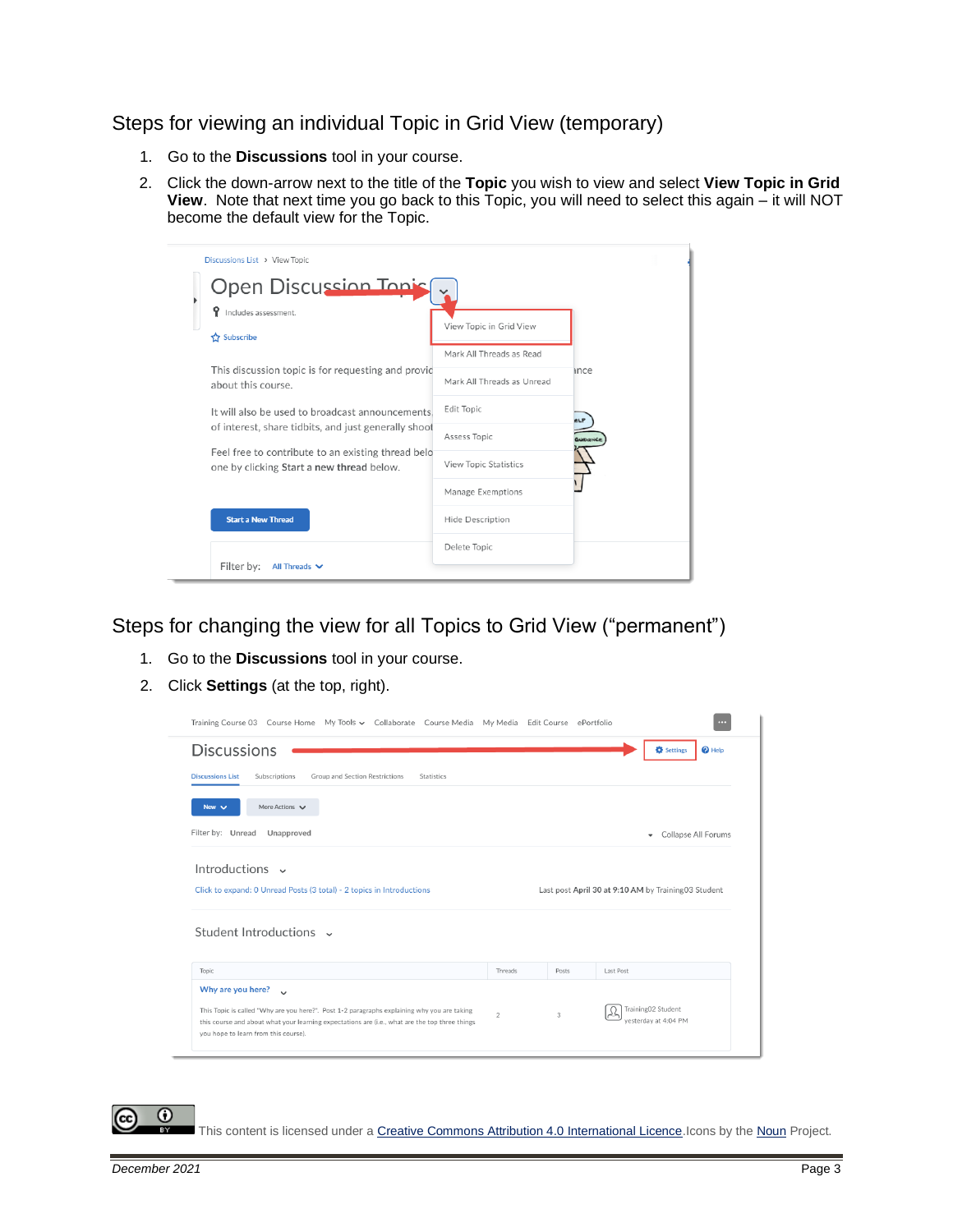Steps for viewing an individual Topic in Grid View (temporary)

- 1. Go to the **Discussions** tool in your course.
- 2. Click the down-arrow next to the title of the **Topic** you wish to view and select **View Topic in Grid View**. Note that next time you go back to this Topic, you will need to select this again – it will NOT become the default view for the Topic.

| Discussions List > View Topic                                                                              |                              |              |  |  |  |  |  |
|------------------------------------------------------------------------------------------------------------|------------------------------|--------------|--|--|--|--|--|
| <b>Open Discussion Topis</b>                                                                               |                              |              |  |  |  |  |  |
| Ŷ<br>Includes assessment.                                                                                  | View Topic in Grid View      |              |  |  |  |  |  |
| Subscribe                                                                                                  | Mark All Threads as Read     |              |  |  |  |  |  |
| This discussion topic is for requesting and provic                                                         |                              | ance         |  |  |  |  |  |
| about this course.                                                                                         | Mark All Threads as Unread   |              |  |  |  |  |  |
| It will also be used to broadcast announcements.                                                           | Edit Topic                   | eLP          |  |  |  |  |  |
| of interest, share tidbits, and just generally shoot<br>Feel free to contribute to an existing thread belo | Assess Topic                 | <b>MDANC</b> |  |  |  |  |  |
| one by clicking Start a new thread below.                                                                  | <b>View Topic Statistics</b> |              |  |  |  |  |  |
|                                                                                                            | Manage Exemptions            |              |  |  |  |  |  |
| <b>Start a New Thread</b>                                                                                  | Hide Description             |              |  |  |  |  |  |
|                                                                                                            | Delete Topic                 |              |  |  |  |  |  |
| Filter by:<br>All Threads $\vee$                                                                           |                              |              |  |  |  |  |  |

Steps for changing the view for all Topics to Grid View ("permanent")

- 1. Go to the **Discussions** tool in your course.
- 2. Click **Settings** (at the top, right).

| Training Course 03 Course Home My Tools v Collaborate Course Media My Media Edit Course ePortfolio                                                                                                                                              |                                                     |       | $\cdots$                                    |  |
|-------------------------------------------------------------------------------------------------------------------------------------------------------------------------------------------------------------------------------------------------|-----------------------------------------------------|-------|---------------------------------------------|--|
| <b>Discussions</b>                                                                                                                                                                                                                              |                                                     |       | <b>D</b> Settings<br>$\mathbf{\Theta}$ Help |  |
| <b>Discussions List</b><br>Subscriptions<br>Group and Section Restrictions<br><b>Statistics</b>                                                                                                                                                 |                                                     |       |                                             |  |
| More Actions $\vee$<br>New $\vee$                                                                                                                                                                                                               |                                                     |       |                                             |  |
| Filter by: Unread<br>Unapproved                                                                                                                                                                                                                 |                                                     |       | Collapse All Forums<br>٠                    |  |
| Introductions $\sim$                                                                                                                                                                                                                            |                                                     |       |                                             |  |
| Click to expand: 0 Unread Posts (3 total) - 2 topics in Introductions                                                                                                                                                                           | Last post April 30 at 9:10 AM by Training03 Student |       |                                             |  |
| Student Introductions v                                                                                                                                                                                                                         |                                                     |       |                                             |  |
| Topic<br>Why are you here?                                                                                                                                                                                                                      | Threads                                             | Posts | Last Post                                   |  |
| $\sim$<br>This Topic is called "Why are you here?". Post 1-2 paragraphs explaining why you are taking<br>this course and about what your learning expectations are (i.e., what are the top three things<br>you hope to learn from this course). | $\overline{2}$                                      | 3     | Training02 Student<br>vesterday at 4:04 PM  |  |

This content is licensed under [a Creative Commons Attribution 4.0 International Licence.I](https://creativecommons.org/licenses/by/4.0/)cons by th[e Noun](https://creativecommons.org/website-icons/) Project.

 $\odot$